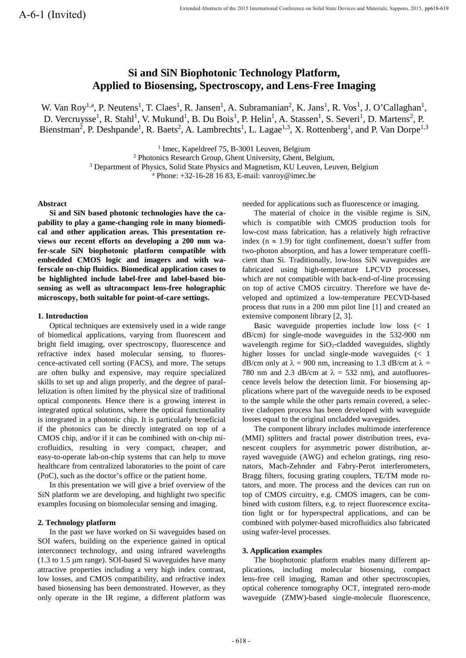# **Si and SiN Biophotonic Technology Platform, Applied to Biosensing, Spectroscopy, and Lens-Free Imaging**

W. Van Roy<sup>1,a</sup>, P. Neutens<sup>1</sup>, T. Claes<sup>1</sup>, R. Jansen<sup>1</sup>, A. Subramanian<sup>2</sup>, K. Jans<sup>1</sup>, R. Vos<sup>1</sup>, J. O'Callaghan<sup>1</sup>, D. Vercruysse<sup>1</sup>, R. Stahl<sup>1</sup>, V. Mukund<sup>1</sup>, B. Du Bois<sup>1</sup>, P. Helin<sup>1</sup>, A. Stassen<sup>1</sup>, S. Severi<sup>1</sup>, D. Martens<sup>2</sup>, P. Bienstman<sup>2</sup>, P. Deshpande<sup>1</sup>, R. Baets<sup>2</sup>, A. Lambrechts<sup>1</sup>, L. Lagae<sup>1,3</sup>, X. Rottenberg<sup>1</sup>, and P. Van Dorpe<sup>1,3</sup>

<sup>1</sup> Imec, Kapeldreef 75, B-3001 Leuven, Belgium<br><sup>2</sup> Photonics Research Group, Ghent University, Ghent, Belgium,

<sup>3</sup> Department of Physics, Solid State Physics and Magnetism, KU Leuven, Leuven, Belgium

<sup>a</sup> Phone:  $+32-16-28$  16 83, E-mail: vanroy@imec.be

## **Abstract**

**Si and SiN based photonic technologies have the capability to play a game-changing role in many biomedical and other application areas. This presentation reviews our recent efforts on developing a 200 mm wafer-scale SiN biophotonic platform compatible with embedded CMOS logic and imagers and with waferscale on-chip fluidics. Biomedical application cases to be highlighted include label-free and label-based biosensing as well as ultracompact lens-free holographic microscopy, both suitable for point-of-care settings.**

#### **1. Introduction**

Optical techniques are extensively used in a wide range of biomedical applications, varying from fluorescent and bright field imaging, over spectroscopy, fluorescence and refractive index based molecular sensing, to fluorescence-activated cell sorting (FACS), and more. The setups are often bulky and expensive, may require specialized skills to set up and align properly, and the degree of parallelization is often limited by the physical size of traditional optical components. Hence there is a growing interest in integrated optical solutions, where the optical functionality is integrated in a photonic chip. It is particularly beneficial if the photonics can be directly integrated on top of a CMOS chip, and/or if it can be combined with on-chip microfluidics, resulting in very compact, cheaper, and easy-to-operate lab-on-chip systems that can help to move healthcare from centralized laboratories to the point of care (PoC), such as the doctor's office or the patient home.

In this presentation we will give a brief overview of the SiN platform we are developing, and highlight two specific examples focusing on biomolecular sensing and imaging.

#### **2. Technology platform**

In the past we have worked on Si waveguides based on SOI wafers, building on the experience gained in optical interconnect technology, and using infrared wavelengths (1.3 to 1.5 µm range). SOI-based Si waveguides have many attractive properties including a very high index contrast, low losses, and CMOS compatibility, and refractive index based biosensing has been demonstrated. However, as they only operate in the IR regime, a different platform was needed for applications such as fluorescence or imaging.

The material of choice in the visible regime is SiN, which is compatible with CMOS production tools for low-cost mass fabrication, has a relatively high refractive index ( $n \approx 1.9$ ) for tight confinement, doesn't suffer from two-photon absorption, and has a lower temperature coefficient than Si. Traditionally, low-loss SiN waveguides are fabricated using high-temperature LPCVD processes, which are not compatible with back-end-of-line processing on top of active CMOS circuitry. Therefore we have developed and optimized a low-temperature PECVD-based process that runs in a 200 mm pilot line [1] and created an extensive component library [2, 3].

Basic waveguide properties include low loss (< 1 dB/cm) for single-mode waveguides in the 532-900 nm wavelength regime for SiO<sub>2</sub>-cladded waveguides, slightly higher losses for unclad single-mode waveguides (< 1 dB/cm only at  $\lambda = 900$  nm, increasing to 1.3 dB/cm at  $\lambda =$ 780 nm and 2.3 dB/cm at  $\lambda = 532$  nm), and autofluorescence levels below the detection limit. For biosensing applications where part of the waveguide needs to be exposed to the sample while the other parts remain covered, a selective cladopen process has been developed with waveguide losses equal to the original uncladded waveguides.

The component library includes multimode interference (MMI) splitters and fractal power distribution trees, evanescent couplers for asymmetric power distribution, arrayed waveguide (AWG) and echelon gratings, ring resonators, Mach-Zehnder and Fabry-Perot interferometers, Bragg filters, focusing grating couplers, TE/TM mode rotators, and more. The process and the devices can run on top of CMOS circuitry, e.g. CMOS imagers, can be combined with custom filters, e.g. to reject fluorescence excitation light or for hyperspectral applications, and can be combined with polymer-based microfluidics also fabricated using wafer-level processes.

### **3. Application examples**

The biophotonic platform enables many different applications, including molecular biosensing, compact lens-free cell imaging, Raman and other spectroscopies, optical coherence tomography OCT, integrated zero-mode waveguide (ZMW)-based single-molecule fluorescence,